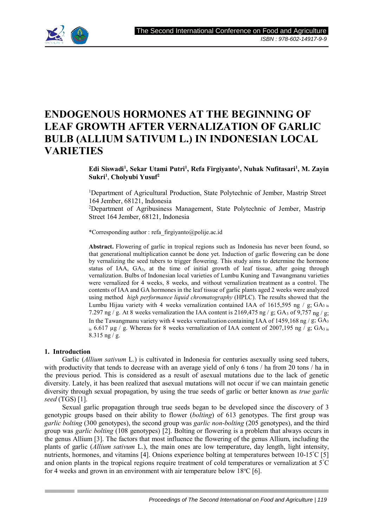

# **ENDOGENOUS HORMONES AT THE BEGINNING OF LEAF GROWTH AFTER VERNALIZATION OF GARLIC BULB (ALLIUM SATIVUM L.) IN INDONESIAN LOCAL VARIETIES**

**Edi Siswadi<sup>1</sup> , Sekar Utami Putri<sup>1</sup> , Refa Firgiyanto<sup>1</sup> , Nuhak Nufitasari<sup>1</sup> , M. Zayin Sukri<sup>1</sup>** , **Cholyubi Yusuf<sup>2</sup>**

<sup>1</sup>Department of Agricultural Production, State Polytechnic of Jember, Mastrip Street 164 Jember, 68121, Indonesia

<sup>2</sup>Department of Agribusiness Management, State Polytechnic of Jember, Mastrip Street 164 Jember, 68121, Indonesia

\*Corresponding author : refa\_firgiyanto@polije.ac.id

**Abstract.** Flowering of garlic in tropical regions such as Indonesia has never been found, so that generational multiplication cannot be done yet. Induction of garlic flowering can be done by vernalizing the seed tubers to trigger flowering. This study aims to determine the hormone status of IAA, GA3, at the time of initial growth of leaf tissue, after going through vernalization. Bulbs of Indonesian local varieties of Lumbu Kuning and Tawangmanu varieties were vernalized for 4 weeks, 8 weeks, and without vernalization treatment as a control. The contents of IAA and GA hormones in the leaf tissue of garlic plants aged 2 weeks were analyzed using method *high performance liquid chromatography* (HPLC). The results showed that the Lumbu Hijau variety with 4 weeks vernalization contained IAA of 1615,595 ng /  $g$ ; GA<sub>3 is</sub> 7.297 ng / g. At 8 weeks vernalization the IAA content is 2169,475 ng / g; GA<sub>3</sub> of 9,757 ng / g; In the Tawangmanu variety with 4 weeks vernalization containing IAA of 1459,168 ng / g;  $GA_3$ is 6.617 µg / g. Whereas for 8 weeks vernalization of IAA content of 2007,195 ng  $\overline{f}$  g; GA<sub>3 is</sub> 8.315 ng / g.

### **1. Introduction**

Garlic (*Allium sativum* L.) is cultivated in Indonesia for centuries asexually using seed tubers, with productivity that tends to decrease with an average yield of only 6 tons / ha from 20 tons / ha in the previous period. This is considered as a result of asexual mutations due to the lack of genetic diversity. Lately, it has been realized that asexual mutations will not occur if we can maintain genetic diversity through sexual propagation, by using the true seeds of garlic or better known as *true garlic seed* (TGS) [1].

Sexual garlic propagation through true seeds began to be developed since the discovery of 3 genotypic groups based on their ability to flower (*bolting*) of 613 genotypes. The first group was *garlic bolting* (300 genotypes), the second group was *garlic non-bolting* (205 genotypes), and the third group was *garlic bolting* (108 genotypes) [2]. Bolting or flowering is a problem that always occurs in the genus Allium [3]. The factors that most influence the flowering of the genus Allium, including the plants of garlic (*Allium sativum* L.), the main ones are low temperature, day length, light intensity, nutrients, hormones, and vitamins [4]. Onions experience bolting at temperatures between 10-15°C [5] and onion plants in the tropical regions require treatment of cold temperatures or vernalization at 5°C for 4 weeks and grown in an environment with air temperature below  $18^{\circ}C$  [6].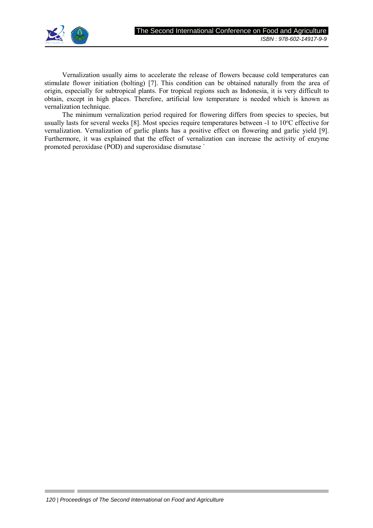

Vernalization usually aims to accelerate the release of flowers because cold temperatures can stimulate flower initiation (bolting) [7]. This condition can be obtained naturally from the area of origin, especially for subtropical plants. For tropical regions such as Indonesia, it is very difficult to obtain, except in high places. Therefore, artificial low temperature is needed which is known as vernalization technique.

The minimum vernalization period required for flowering differs from species to species, but usually lasts for several weeks [8]. Most species require temperatures between -1 to 10°C effective for vernalization. Vernalization of garlic plants has a positive effect on flowering and garlic yield [9]. Furthermore, it was explained that the effect of vernalization can increase the activity of enzyme promoted peroxidase (POD) and superoxidase dismutase `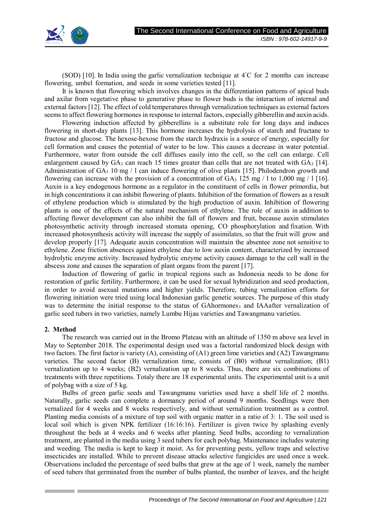

(SOD) [10]. In India using the garlic vernalization technique at  $4^{\circ}$ C for 2 months can increase flowering, umbel formation, and seeds in some varieties tested [11].

It is known that flowering which involves changes in the differentiation patterns of apical buds and axilar from vegetative phase to generative phase to flower buds is the interaction of internal and external factors [12]. The effect of cold temperatures through vernalization techniques as external factors seems to affect flowering hormones in response to internal factors, especially gibberellin and auxin acids.

Flowering induction affected by gibberellins is a substitute role for long days and induces flowering in short-day plants [13]. This hormone increases the hydrolysis of starch and fructane to fructose and glucose. The hexose-hexose from the starch hydraxis is a source of energy, especially for cell formation and causes the potential of water to be low. This causes a decrease in water potential. Furthermore, water from outside the cell diffuses easily into the cell, so the cell can enlarge. Cell enlargement caused by  $GA_3$  can reach 15 times greater than cells that are not treated with  $GA_3$  [14]. Administration of  $GA_3$  10 mg / 1 can induce flowering of olive plants [15]. Philodendron growth and flowering can increase with the provision of a concentration of  $GA_3$  125 mg / 1 to 1,000 mg / 1 [16]. Auxin is a key endogenous hormone as a regulator in the constituent of cells in flower primordia, but in high concentrations it can inhibit flowering of plants. Inhibition of the formation of flowers as a result of ethylene production which is stimulated by the high production of auxin. Inhibition of flowering plants is one of the effects of the natural mechanism of ethylene. The role of auxin in addition to affecting flower development can also inhibit the fall of flowers and fruit, because auxin stimulates photosynthetic activity through increased stomata opening, CO phosphorylation and fixation. With increased photosynthesis activity will increase the supply of assimilates, so that the fruit will grow and develop properly [17]. Adequate auxin concentration will maintain the absentee zone not sensitive to ethylene. Zone friction absences against ethylene due to low auxin content, characterized by increased hydrolytic enzyme activity. Increased hydrolytic enzyme activity causes damage to the cell wall in the abscess zone and causes the separation of plant organs from the parent [17].

Induction of flowering of garlic in tropical regions such as Indonesia needs to be done for restoration of garlic fertility. Furthermore, it can be used for sexual hybridization and seed production, in order to avoid asexual mutations and higher yields. Therefore, tubing vernalization efforts for flowering initiation were tried using local Indonesian garlic genetic sources. The purpose of this study was to determine the initial response to the status of GAhormones<sub>3</sub> and IAAafter vernalization of garlic seed tubers in two varieties, namely Lumbu Hijau varieties and Tawangmanu varieties.

### **2. Method**

The research was carried out in the Bromo Plateau with an altitude of 1350 m above sea level in May to September 2018. The experimental design used was a factorial randomized block design with two factors. The first factor is variety (A), consisting of (A1) green lime varieties and (A2) Tawangmanu varieties. The second factor (B) vernalization time, consists of (B0) without vernalization; (B1) vernalization up to 4 weeks; (B2) vernalization up to 8 weeks. Thus, there are six combinations of treatments with three repetitions. Totaly there are 18 experimental units. The experimental unit is a unit of polybag with a size of 5 kg.

Bulbs of green garlic seeds and Tawangmanu varieties used have a shelf life of 2 months. Naturally, garlic seeds can complete a dormancy period of around 9 months. Seedlings were then vernalized for 4 weeks and 8 weeks respectively, and without vernalization treatment as a control. Planting media consists of a mixture of top soil with organic matter in a ratio of 3: 1. The soil used is local soil which is given NPK fertilizer (16:16:16). Fertilizer is given twice by splashing evenly throughout the beds at 4 weeks and 6 weeks after planting. Seed bulbs, according to vernalization treatment, are planted in the media using 3 seed tubers for each polybag. Maintenance includes watering and weeding. The media is kept to keep it moist. As for preventing pests, yellow traps and selective insecticides are installed. While to prevent disease attacks selective fungicides are used once a week. Observations included the percentage of seed bulbs that grew at the age of 1 week, namely the number of seed tubers that germinated from the number of bulbs planted, the number of leaves, and the height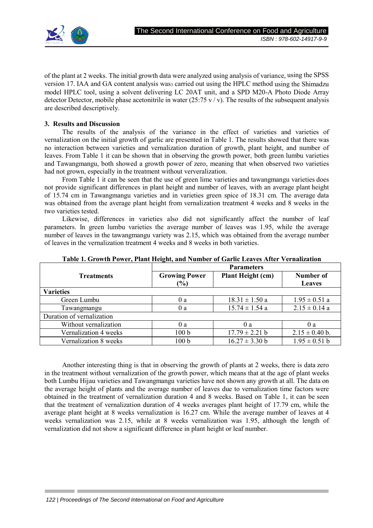

of the plant at 2 weeks. The initial growth data were analyzed using analysis of variance, using the SPSS version 17. IAA and GA content analysis was<sub>3</sub> carried out using the HPLC method using the Shimadzu model HPLC tool, using a solvent delivering LC 20AT unit, and a SPD M20-A Photo Diode Array detector Detector, mobile phase acetonitrile in water (25:75 v / v). The results of the subsequent analysis are described descriptively.

#### **3. Results and Discussion**

The results of the analysis of the variance in the effect of varieties and varieties of vernalization on the initial growth of garlic are presented in Table 1. The results showed that there was no interaction between varieties and vernalization duration of growth, plant height, and number of leaves. From Table 1 it can be shown that in observing the growth power, both green lumbu varieties and Tawangmangu, both showed a growth power of zero, meaning that when observed two varieties had not grown, especially in the treatment without ververalization.

From Table 1 it can be seen that the use of green lime varieties and tawangmangu varieties does not provide significant differences in plant height and number of leaves, with an average plant height of 15.74 cm in Tawangmangu varieties and in varieties green spice of 18.31 cm. The average data was obtained from the average plant height from vernalization treatment 4 weeks and 8 weeks in the two varieties tested.

Likewise, differences in varieties also did not significantly affect the number of leaf parameters. In green lumbu varieties the average number of leaves was 1.95, while the average number of leaves in the tawangmangu variety was 2.15, which was obtained from the average number of leaves in the vernalization treatment 4 weeks and 8 weeks in both varieties.

|                           | <b>Parameters</b>    |                    |                    |
|---------------------------|----------------------|--------------------|--------------------|
| <b>Treatments</b>         | <b>Growing Power</b> | Plant Height (cm)  | Number of          |
|                           | (%)                  |                    | <b>Leaves</b>      |
| <b>Varieties</b>          |                      |                    |                    |
| Green Lumbu               | 0a                   | $18.31 \pm 1.50$ a | $1.95 \pm 0.51$ a  |
| Tawangmangu               | 0a                   | $15.74 \pm 1.54$ a | $2.15 \pm 0.14$ a  |
| Duration of vernalization |                      |                    |                    |
| Without vernalization     | 0a                   | 0a                 | 0a                 |
| Vernalization 4 weeks     | 100 <sub>b</sub>     | $17.79 \pm 2.21$ b | $2.15 \pm 0.40$ b. |
| Vernalization 8 weeks     | 100 b                | $16.27 \pm 3.30$ b | $1.95 \pm 0.51$ b  |

**Table 1. Growth Power, Plant Height, and Number of Garlic Leaves After Vernalization**

Another interesting thing is that in observing the growth of plants at 2 weeks, there is data zero in the treatment without vernalization of the growth power, which means that at the age of plant weeks both Lumbu Hijau varieties and Tawangmangu varieties have not shown any growth at all. The data on the average height of plants and the average number of leaves due to vernalization time factors were obtained in the treatment of vernalization duration 4 and 8 weeks. Based on Table 1, it can be seen that the treatment of vernalization duration of 4 weeks averages plant height of 17.79 cm, while the average plant height at 8 weeks vernalization is 16.27 cm. While the average number of leaves at 4 weeks vernalization was 2.15, while at 8 weeks vernalization was 1.95, although the length of vernalization did not show a significant difference in plant height or leaf number.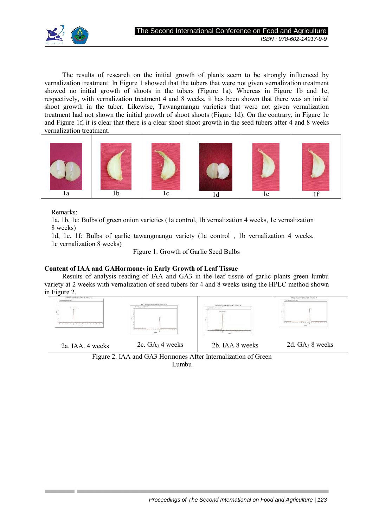

The results of research on the initial growth of plants seem to be strongly influenced by vernalization treatment. In Figure 1 showed that the tubers that were not given vernalization treatment showed no initial growth of shoots in the tubers (Figure 1a). Whereas in Figure 1b and 1c, respectively, with vernalization treatment 4 and 8 weeks, it has been shown that there was an initial shoot growth in the tuber. Likewise, Tawangmangu varieties that were not given vernalization treatment had not shown the initial growth of shoot shoots (Figure 1d). On the contrary, in Figure 1e and Figure 1f, it is clear that there is a clear shoot shoot growth in the seed tubers after 4 and 8 weeks vernalization treatment.



Remarks:

1a, 1b, 1c: Bulbs of green onion varieties (1a control, 1b vernalization 4 weeks, 1c vernalization 8 weeks)

1d, 1e, 1f: Bulbs of garlic tawangmangu variety (1a control , 1b vernalization 4 weeks, 1c vernalization 8 weeks)

Figure 1. Growth of Garlic Seed Bulbs

## **Content of IAA and GAHormone3 in Early Growth of Leaf Tissue**

Results of analysis reading of IAA and GA3 in the leaf tissue of garlic plants green lumbu variety at 2 weeks with vernalization of seed tubers for 4 and 8 weeks using the HPLC method shown in Figure 2.



Lumbu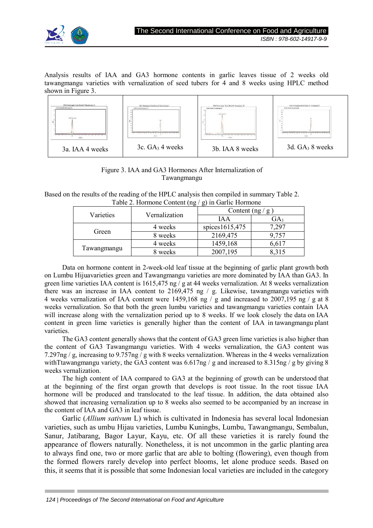

Analysis results of IAA and GA3 hormone contents in garlic leaves tissue of 2 weeks old tawangmangu varieties with vernalization of seed tubers for 4 and 8 weeks using HPLC method shown in Figure 3.



## Figure 3. IAA and GA3 Hormones After Internalization of Tawangmangu

Based on the results of the reading of the HPLC analysis then compiled in summary Table 2. Table 2. Hormone Content (ng / g) in Garlic Hormone

| Varieties   | Vernalization | ຼ<br>Content $(ng/g)$ |                 |
|-------------|---------------|-----------------------|-----------------|
|             |               | IA A                  | GA <sub>3</sub> |
| Green       | 4 weeks       | spices1615,475        | ,297            |
|             | 8 weeks       | 2169,475              | 9,757           |
| Tawangmangu | 4 weeks       | 1459,168              | 6,617           |
|             | 8 weeks       | 2007,195              | 8.315           |

Data on hormone content in 2-week-old leaf tissue at the beginning of garlic plant growth both on Lumbu Hijuavarieties green and Tawangmangu varieties are more dominated by IAA than GA3. In green lime varieties IAA content is 1615,475 ng / g at 44 weeks vernalization. At 8 weeks vernalization there was an increase in IAA content to 2169,475 ng / g. Likewise, tawangmangu varieties with 4 weeks vernalization of IAA content were 1459,168 ng / g and increased to 2007,195 ng / g at 8 weeks vernalization. So that both the green lumbu varieties and tawangmangu varieties contain IAA will increase along with the vernalization period up to 8 weeks. If we look closely the data on IAA content in green lime varieties is generally higher than the content of IAA in tawangmangu plant varieties.

The GA3 content generally shows that the content of GA3 green lime varieties is also higher than the content of GA3 Tawangmangu varieties. With 4 weeks vernalization, the GA3 content was 7.297ng / g, increasing to 9.757ng / g with 8 weeks vernalization. Whereas in the 4 weeks vernalization with Ttawangmangu variety, the GA3 content was  $6.617$ ng / g and increased to 8.315ng / g by giving 8 weeks vernalization.

The high content of IAA compared to GA3 at the beginning of growth can be understood that at the beginning of the first organ growth that develops is root tissue. In the root tissue IAA hormone will be produced and translocated to the leaf tissue. In addition, the data obtained also showed that increasing vernalization up to 8 weeks also seemed to be accompanied by an increase in the content of IAA and GA3 in leaf tissue.

Garlic (*Allium sativum* L) which is cultivated in Indonesia has several local Indonesian varieties, such as umbu Hijau varieties, Lumbu Kuningbs, Lumbu, Tawangmangu, Sembalun, Sanur, Jatibarang, Bagor Layur, Kayu, etc. Of all these varieties it is rarely found the appearance of flowers naturally. Nonetheless, it is not uncommon in the garlic planting area to always find one, two or more garlic that are able to bolting (flowering), even though from the formed flowers rarely develop into perfect blooms, let alone produce seeds. Based on this, it seems that it is possible that some Indonesian local varieties are included in the category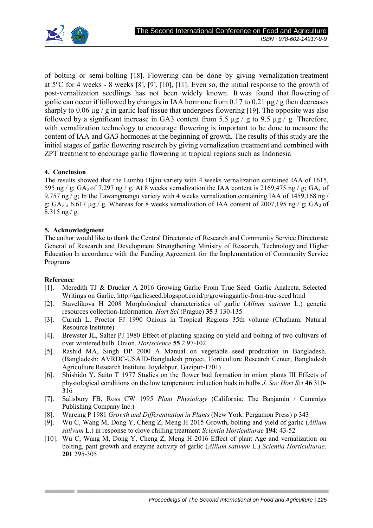

of bolting or semi-bolting [18]. Flowering can be done by giving vernalization treatment at  $5^{\circ}$ C for 4 weeks - 8 weeks [8], [9], [10], [11]. Even so, the initial response to the growth of post-vernalization seedlings has not been widely known. It was found that flowering of garlic can occur if followed by changes in IAA hormone from 0.17 to 0.21  $\mu$ g / g then decreases sharply to 0.06  $\mu$ g / g in garlic leaf tissue that undergoes flowering [19]. The opposite was also followed by a significant increase in GA3 content from 5.5  $\mu$ g / g to 9.5  $\mu$ g / g. Therefore, with vernalization technology to encourage flowering is important to be done to measure the content of IAA and GA3 hormones at the beginning of growth. The results of this study are the initial stages of garlic flowering research by giving vernalization treatment and combined with ZPT treatment to encourage garlic flowering in tropical regions such as Indonesia

## **4. Conclusion**

The results showed that the Lumbu Hijau variety with 4 weeks vernalization contained IAA of 1615, 595 ng / g; GA<sub>3</sub> of 7.297 ng / g. At 8 weeks vernalization the IAA content is 2169,475 ng / g; GA<sub>3</sub> of 9,757 ng / g; In the Tawangmangu variety with 4 weeks vernalization containing IAA of 1459,168 ng / g;  $GA_{3,i}$  6.617 µg / g. Whereas for 8 weeks vernalization of IAA content of 2007,195 ng / g;  $GA_3$  of 8.315 ng / g.

## **5. Acknowledgment**

The author would like to thank the Central Directorate of Research and Community Service Directorate General of Research and Development Strengthening Ministry of Research, Technology and Higher Education In accordance with the Funding Agreement for the Implementation of Community Service Programs

### **Reference**

- [1]. Meredith TJ & Drucker A 2016 Growing Garlic From True Seed. Garlic Analecta. Selected Writings on Garlic. http://garlicseed.blogspot.co.id/p/growinggarlic-from-true-seed html
- [2]. Stavelikova H 2008 Morphological characteristics of garlic (*Allium sativum* L.) genetic resources collection-Information. *Hort Sci* (Prague) **35** 3 130-135
- [3]. Currah L, Proctor FJ 1990 Onions in Tropical Regions 35th volume (Chatham: Natural Resource Institute)
- [4]. Brewster JL, Salter PJ 1980 Effect of planting spacing on yield and bolting of two cultivars of over wintered bulb Onion. *Hortscience* **55** 2 97-102
- [5]. Rashid MA, Singh DP 2000 A Manual on vegetable seed production in Bangladesh. (Bangladesh: AVRDC-USAID-Bangladesh project, Horticulture Research Center, Bangladesh Agriculture Research Institute, Joydebpur, Gazipur-1701)
- [6]. Shishido Y, Saito T 1977 Studies on the flower bud formation in onion plants III Effects of physiological conditions on the low temperature induction buds in bulbs *J. Soc Hort Sci* **46** 310- 316
- [7]. Salisbury FB, Ross CW 1995 *Plant Physiology* (California: The Banjamin / Cummigs Publishing Company Inc.)
- [8]. Wareing P 1981 *Growth and Differentiation in Plants* (New York: Pergamon Press) p 343
- [9]. Wu C, Wang M, Dong Y, Cheng Z, Meng H 2015 Growth, bolting and yield of garlic (*Allium sativum* L.) in response to clove chilling treatment *Scientia Horticulturae* **194**: 43-52
- [10]. Wu C, Wang M, Dong Y, Cheng Z, Meng H 2016 Effect of plant Age and vernalization on bolting, pant growth and enzyme activity of garlic (*Allium sativum* L.) *Scientia Horticulturae*. **201** 295-305